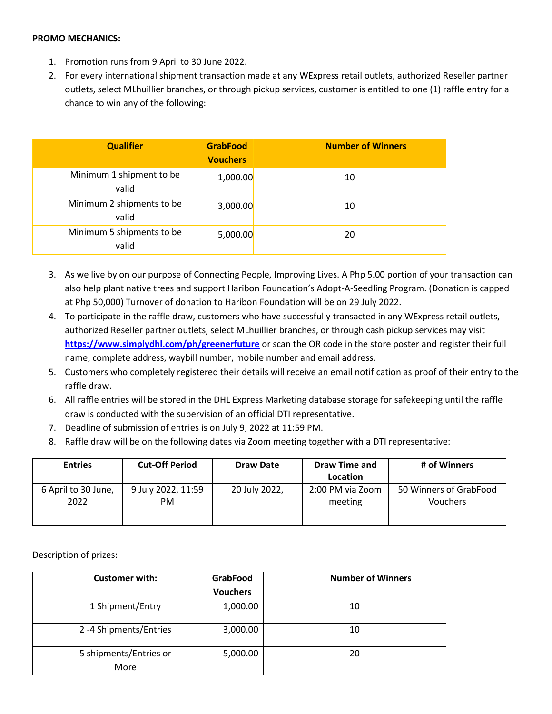## **PROMO MECHANICS:**

- 1. Promotion runs from 9 April to 30 June 2022.
- 2. For every international shipment transaction made at any WExpress retail outlets, authorized Reseller partner outlets, select MLhuillier branches, or through pickup services, customer is entitled to one (1) raffle entry for a chance to win any of the following:

| <b>Qualifier</b>                   | <b>GrabFood</b><br><b>Vouchers</b> | <b>Number of Winners</b> |
|------------------------------------|------------------------------------|--------------------------|
| Minimum 1 shipment to be<br>valid  | 1,000.00                           | 10                       |
| Minimum 2 shipments to be<br>valid | 3,000.00                           | 10                       |
| Minimum 5 shipments to be<br>valid | 5,000.00                           | 20                       |

- 3. As we live by on our purpose of Connecting People, Improving Lives. A Php 5.00 portion of your transaction can also help plant native trees and support Haribon Foundation's Adopt-A-Seedling Program. (Donation is capped at Php 50,000) Turnover of donation to Haribon Foundation will be on 29 July 2022.
- 4. To participate in the raffle draw, customers who have successfully transacted in any WExpress retail outlets, authorized Reseller partner outlets, select MLhuillier branches, or through cash pickup services may visit **<https://www.simplydhl.com/ph/greenerfuture>** or scan the QR code in the store poster and register their full name, complete address, waybill number, mobile number and email address.
- 5. Customers who completely registered their details will receive an email notification as proof of their entry to the raffle draw.
- 6. All raffle entries will be stored in the DHL Express Marketing database storage for safekeeping until the raffle draw is conducted with the supervision of an official DTI representative.
- 7. Deadline of submission of entries is on July 9, 2022 at 11:59 PM.
- 8. Raffle draw will be on the following dates via Zoom meeting together with a DTI representative:

| <b>Entries</b>              | <b>Cut-Off Period</b>    | <b>Draw Date</b> | Draw Time and               | # of Winners                              |
|-----------------------------|--------------------------|------------------|-----------------------------|-------------------------------------------|
|                             |                          |                  | Location                    |                                           |
| 6 April to 30 June,<br>2022 | 9 July 2022, 11:59<br>PM | 20 July 2022,    | 2:00 PM via Zoom<br>meeting | 50 Winners of GrabFood<br><b>Vouchers</b> |

Description of prizes:

| <b>Vouchers</b> |    |
|-----------------|----|
|                 |    |
| 1,000.00        | 10 |
| 3,000.00        | 10 |
| 5,000.00        | 20 |
|                 |    |